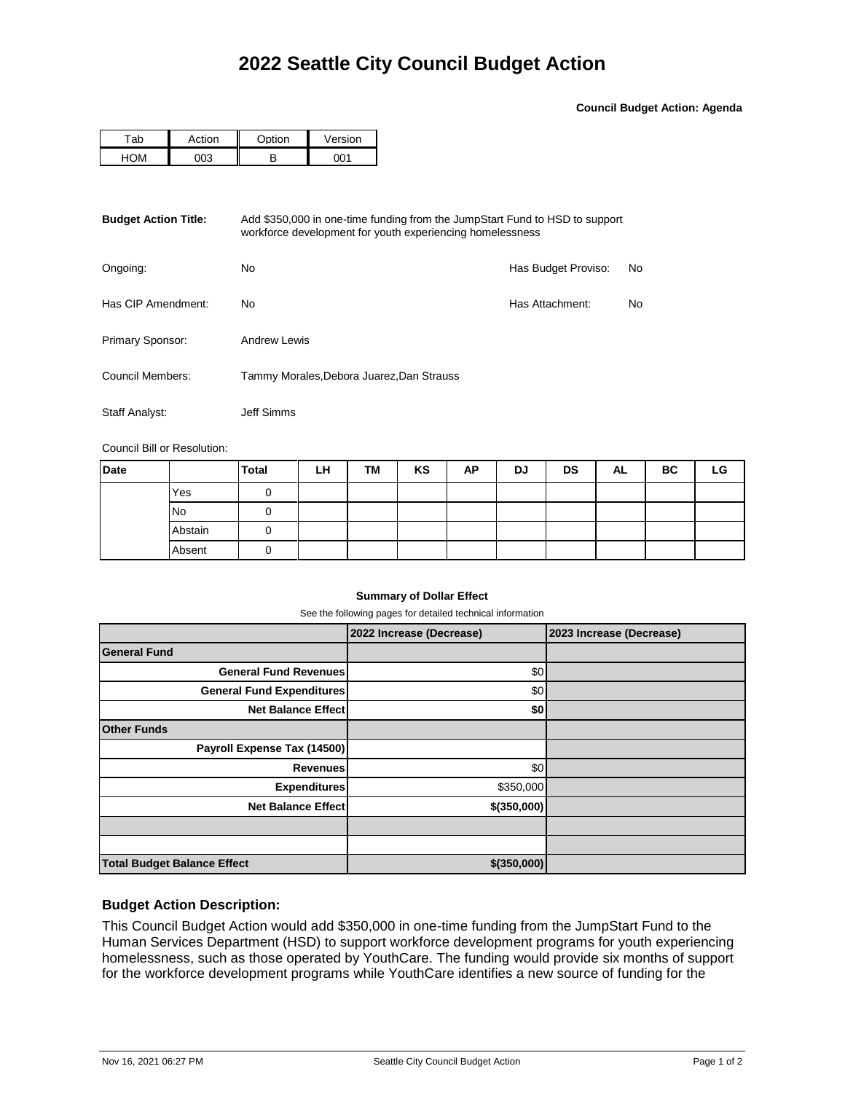**Council Budget Action: Agenda**

| <sup>-</sup> ab | \ction | $\sim$ ntion | Version |  |  |
|-----------------|--------|--------------|---------|--|--|
|                 |        | n            | ו∩ר     |  |  |

| <b>Budget Action Title:</b><br>Add \$350,000 in one-time funding from the JumpStart Fund to HSD to support<br>workforce development for youth experiencing homelessness |                                           |                     |    |  |  |  |
|-------------------------------------------------------------------------------------------------------------------------------------------------------------------------|-------------------------------------------|---------------------|----|--|--|--|
| Ongoing:                                                                                                                                                                | No.                                       | Has Budget Proviso: | No |  |  |  |
| Has CIP Amendment:                                                                                                                                                      | No.                                       | Has Attachment:     | No |  |  |  |
| Primary Sponsor:                                                                                                                                                        | Andrew Lewis                              |                     |    |  |  |  |
| Council Members:                                                                                                                                                        | Tammy Morales, Debora Juarez, Dan Strauss |                     |    |  |  |  |
| Staff Analyst:                                                                                                                                                          | Jeff Simms                                |                     |    |  |  |  |

Council Bill or Resolution:

| <b>Date</b> |         | <b>Total</b> | LH | <b>TM</b> | KS | AP | DJ | <b>DS</b> | AL | ВC | LG |
|-------------|---------|--------------|----|-----------|----|----|----|-----------|----|----|----|
|             | Yes     |              |    |           |    |    |    |           |    |    |    |
|             | No      |              |    |           |    |    |    |           |    |    |    |
|             | Abstain | O            |    |           |    |    |    |           |    |    |    |
|             | Absent  |              |    |           |    |    |    |           |    |    |    |

## **Summary of Dollar Effect**

See the following pages for detailed technical information

|                                    | 2022 Increase (Decrease) | 2023 Increase (Decrease) |
|------------------------------------|--------------------------|--------------------------|
| <b>General Fund</b>                |                          |                          |
| <b>General Fund Revenues</b>       | \$0                      |                          |
| <b>General Fund Expenditures</b>   | \$0                      |                          |
| <b>Net Balance Effect</b>          | \$0                      |                          |
| <b>Other Funds</b>                 |                          |                          |
| Payroll Expense Tax (14500)        |                          |                          |
| <b>Revenues</b>                    | \$0                      |                          |
| <b>Expenditures</b>                | \$350,000                |                          |
| <b>Net Balance Effect</b>          | \$(350,000)              |                          |
|                                    |                          |                          |
|                                    |                          |                          |
| <b>Total Budget Balance Effect</b> | \$(350,000)              |                          |

## **Budget Action Description:**

This Council Budget Action would add \$350,000 in one-time funding from the JumpStart Fund to the Human Services Department (HSD) to support workforce development programs for youth experiencing homelessness, such as those operated by YouthCare. The funding would provide six months of support for the workforce development programs while YouthCare identifies a new source of funding for the